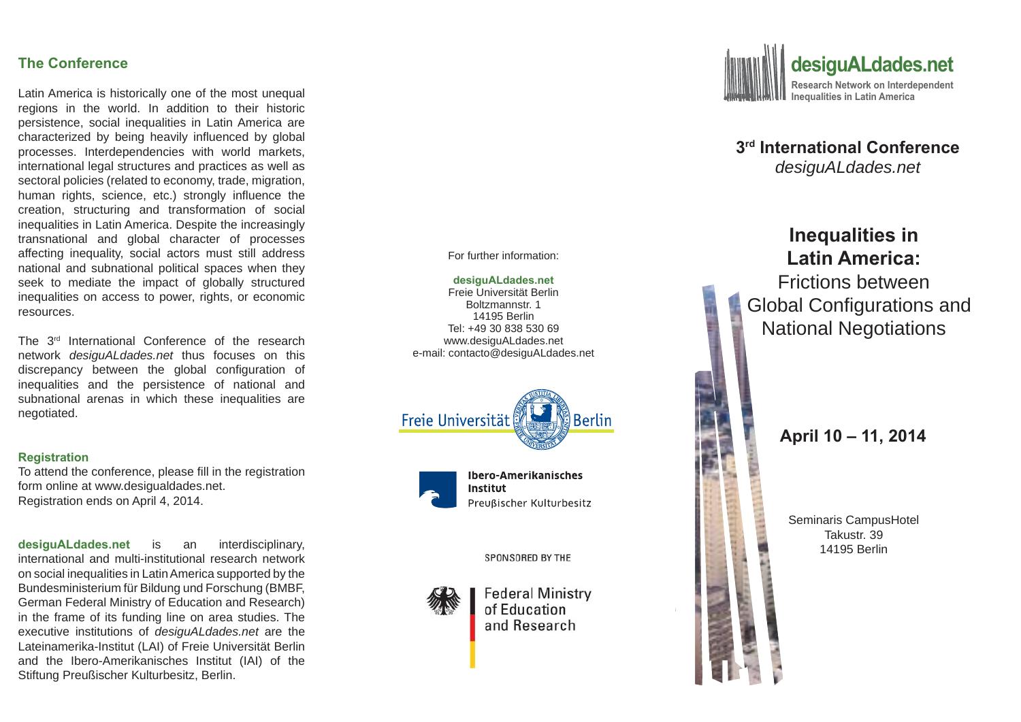## **The Conference**

Latin America is historically one of the most unequal regions in the world. In addition to their historic persistence, social inequalities in Latin America are characterized by being heavily influenced by global processes. Interdependencies with world markets, international legal structures and practices as well as sectoral policies (related to economy, trade, migration, human rights, science, etc.) strongly influence the creation, structuring and transformation of social inequalities in Latin America. Despite the increasingly transnational and global character of processes affecting inequality, social actors must still address national and subnational political spaces when they seek to mediate the impact of globally structured inequalities on access to power, rights, or economic resources.

The 3rd International Conference of the research network *desiguALdades.net* thus focuses on this discrepancy between the global configuration of inequalities and the persistence of national and subnational arenas in which these inequalities are negotiated.

#### **Registration**

To attend the conference, please fill in the registration form online at www.desigualdades.net. Registration ends on April 4, 2014.

**desiguALdades.net** is an interdisciplinary, international and multi-institutional research network on social inequalities in Latin America supported by the Bundesministerium für Bildung und Forschung (BMBF, German Federal Ministry of Education and Research) in the frame of its funding line on area studies. The executive institutions of *desiguALdades.net* are the Lateinamerika-Institut (LAI) of Freie Universität Berlin and the Ibero-Amerikanisches Institut (IAI) of the Stiftung Preußischer Kulturbesitz, Berlin.



**3rd International Conference** *desiguALdades.net*



For further information:

#### **desiguALdades.net** Freie Universität Berlin

Boltzmannstr. 114195 BerlinTel: +49 30 838 530 69www.desiguALdades.net e-mail: contacto@desiguALdades.net





SPONSORED BY THE



Lateinamerika - Institut

**Federal Ministry** of Education and Research